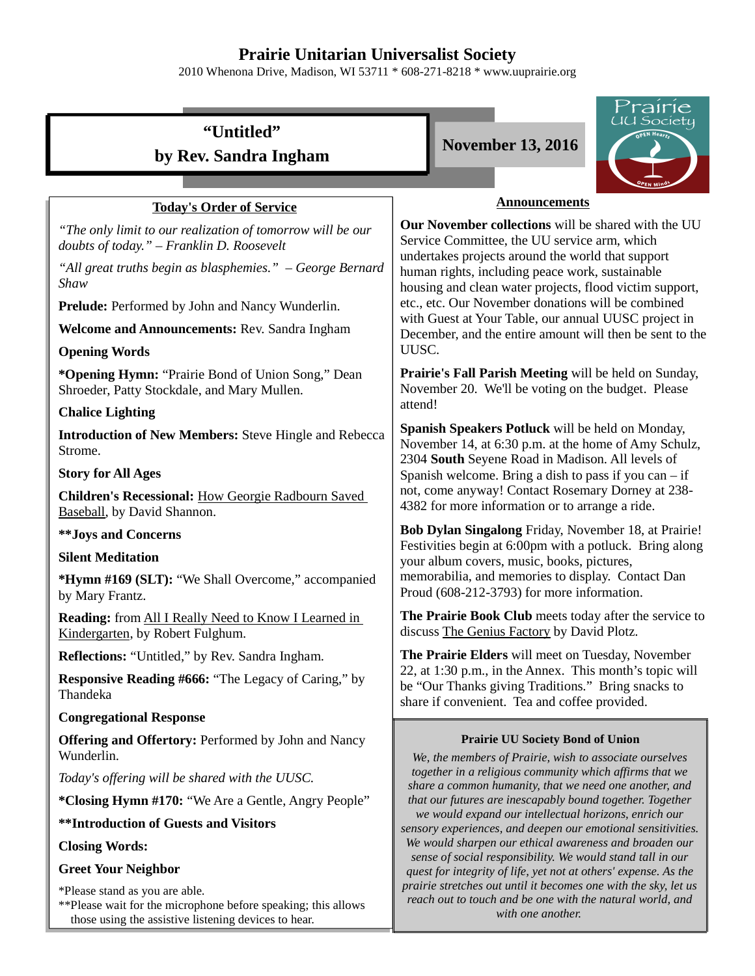# **Prairie Unitarian Universalist Society**

2010 Whenona Drive, Madison, WI 53711 \* 608-271-8218 \* www.uuprairie.org

|                                                                                                         | Prairie                                                                                                                                                                                                                                                                                                                                                                                                                                                   |  |
|---------------------------------------------------------------------------------------------------------|-----------------------------------------------------------------------------------------------------------------------------------------------------------------------------------------------------------------------------------------------------------------------------------------------------------------------------------------------------------------------------------------------------------------------------------------------------------|--|
| "Untitled"                                                                                              | J Society<br><b>November 13, 2016</b>                                                                                                                                                                                                                                                                                                                                                                                                                     |  |
| by Rev. Sandra Ingham                                                                                   |                                                                                                                                                                                                                                                                                                                                                                                                                                                           |  |
|                                                                                                         |                                                                                                                                                                                                                                                                                                                                                                                                                                                           |  |
| <b>Today's Order of Service</b>                                                                         | <b>Announcements</b>                                                                                                                                                                                                                                                                                                                                                                                                                                      |  |
| "The only limit to our realization of tomorrow will be our<br>doubts of today." - Franklin D. Roosevelt | Our November collections will be shared with the UU<br>Service Committee, the UU service arm, which<br>undertakes projects around the world that support<br>human rights, including peace work, sustainable<br>housing and clean water projects, flood victim support,<br>etc., etc. Our November donations will be combined<br>with Guest at Your Table, our annual UUSC project in<br>December, and the entire amount will then be sent to the<br>UUSC. |  |
| "All great truths begin as blasphemies." - George Bernard<br>Shaw                                       |                                                                                                                                                                                                                                                                                                                                                                                                                                                           |  |
| Prelude: Performed by John and Nancy Wunderlin.                                                         |                                                                                                                                                                                                                                                                                                                                                                                                                                                           |  |
| Welcome and Announcements: Rev. Sandra Ingham                                                           |                                                                                                                                                                                                                                                                                                                                                                                                                                                           |  |
| <b>Opening Words</b>                                                                                    |                                                                                                                                                                                                                                                                                                                                                                                                                                                           |  |
| *Opening Hymn: "Prairie Bond of Union Song," Dean<br>Shroeder, Patty Stockdale, and Mary Mullen.        | Prairie's Fall Parish Meeting will be held on Sunday,<br>November 20. We'll be voting on the budget. Please                                                                                                                                                                                                                                                                                                                                               |  |
| <b>Chalice Lighting</b>                                                                                 | attend!                                                                                                                                                                                                                                                                                                                                                                                                                                                   |  |
| <b>Introduction of New Members: Steve Hingle and Rebecca</b><br>Strome.                                 | Spanish Speakers Potluck will be held on Monday,<br>November 14, at 6:30 p.m. at the home of Amy Schulz,<br>2304 South Seyene Road in Madison. All levels of<br>Spanish welcome. Bring a dish to pass if you can $-$ if<br>not, come anyway! Contact Rosemary Dorney at 238-<br>4382 for more information or to arrange a ride.                                                                                                                           |  |
| <b>Story for All Ages</b>                                                                               |                                                                                                                                                                                                                                                                                                                                                                                                                                                           |  |
| Children's Recessional: How Georgie Radbourn Saved<br>Baseball, by David Shannon.                       |                                                                                                                                                                                                                                                                                                                                                                                                                                                           |  |
| <b>**Joys and Concerns</b>                                                                              | Bob Dylan Singalong Friday, November 18, at Prairie!<br>Festivities begin at 6:00pm with a potluck. Bring along<br>your album covers, music, books, pictures,<br>memorabilia, and memories to display. Contact Dan<br>Proud (608-212-3793) for more information.                                                                                                                                                                                          |  |
| <b>Silent Meditation</b>                                                                                |                                                                                                                                                                                                                                                                                                                                                                                                                                                           |  |
| *Hymn #169 (SLT): "We Shall Overcome," accompanied<br>by Mary Frantz.                                   |                                                                                                                                                                                                                                                                                                                                                                                                                                                           |  |
| Reading: from All I Really Need to Know I Learned in<br>Kindergarten, by Robert Fulghum.                | The Prairie Book Club meets today after the service to<br>discuss The Genius Factory by David Plotz.                                                                                                                                                                                                                                                                                                                                                      |  |
| <b>Reflections:</b> "Untitled," by Rev. Sandra Ingham.                                                  | The Prairie Elders will meet on Tuesday, November<br>22, at 1:30 p.m., in the Annex. This month's topic will<br>be "Our Thanks giving Traditions." Bring snacks to<br>share if convenient. Tea and coffee provided.                                                                                                                                                                                                                                       |  |
| <b>Responsive Reading #666: "The Legacy of Caring," by</b><br>Thandeka                                  |                                                                                                                                                                                                                                                                                                                                                                                                                                                           |  |
| <b>Congregational Response</b>                                                                          |                                                                                                                                                                                                                                                                                                                                                                                                                                                           |  |
| <b>Offering and Offertory: Performed by John and Nancy</b><br>Wunderlin.                                | <b>Prairie UU Society Bond of Union</b><br>We, the members of Prairie, wish to associate ourselves                                                                                                                                                                                                                                                                                                                                                        |  |
| Today's offering will be shared with the UUSC.                                                          | together in a religious community which affirms that we<br>share a common humanity, that we need one another, and                                                                                                                                                                                                                                                                                                                                         |  |
| *Closing Hymn #170: "We Are a Gentle, Angry People"                                                     | that our futures are inescapably bound together. Together<br>we would expand our intellectual horizons, enrich our<br>sensory experiences, and deepen our emotional sensitivities.<br>We would sharpen our ethical awareness and broaden our<br>sense of social responsibility. We would stand tall in our<br>quest for integrity of life, yet not at others' expense. As the                                                                             |  |
| <b>**Introduction of Guests and Visitors</b>                                                            |                                                                                                                                                                                                                                                                                                                                                                                                                                                           |  |
| <b>Closing Words:</b>                                                                                   |                                                                                                                                                                                                                                                                                                                                                                                                                                                           |  |
| <b>Greet Your Neighbor</b>                                                                              |                                                                                                                                                                                                                                                                                                                                                                                                                                                           |  |
| $*Dloop$ stand as you are able                                                                          | prairie stretches out until it becomes one with the sky, let us                                                                                                                                                                                                                                                                                                                                                                                           |  |

*reach out to touch and be one with the natural world, and with one another.* 

\*Please stand as you are able.

\*\*Please wait for the microphone before speaking; this allows those using the assistive listening devices to hear.